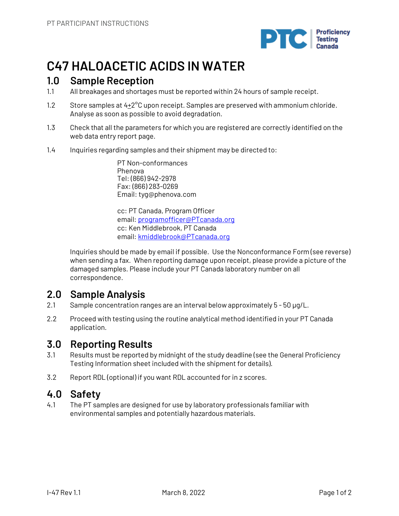

# **C47 HALOACETIC ACIDS IN WATER**

# **1.0 Sample Reception**

- 1.1 All breakages and shortages must be reported within 24 hours of sample receipt.
- 1.2 Store samples at  $4+2^{\circ}$ C upon receipt. Samples are preserved with ammonium chloride. Analyse as soon as possible to avoid degradation.
- 1.3 Check that all the parameters for which you are registered are correctly identified on the web data entry report page.
- 1.4 Inquiries regarding samples and their shipment may be directed to:

PT Non-conformances Phenova Tel: (866) 942-2978 Fax: (866) 283-0269 Email: tyg@phenova.com

cc: PT Canada, Program Officer email: programofficer@PTcanada.org cc: Ken Middlebrook, PT Canada email: kmiddlebrook@PTcanada.org

Inquiries should be made by email if possible. Use the Nonconformance Form (see reverse) when sending a fax. When reporting damage upon receipt, please provide a picture of the damaged samples. Please include your PT Canada laboratory number on all correspondence.

# **2.0 Sample Analysis**

- 2.1 Sample concentration ranges are an interval below approximately 5 50 µg/L.
- 2.2 Proceed with testing using the routine analytical method identified in your PT Canada application.

# **3.0 Reporting Results**

- 3.1 Results must be reported by midnight of the study deadline (see the General Proficiency Testing Information sheet included with the shipment for details).
- 3.2 Report RDL (optional) if you want RDL accounted for in z scores.

# **4.0 Safety**

4.1 The PT samples are designed for use by laboratory professionals familiar with environmental samples and potentially hazardous materials.